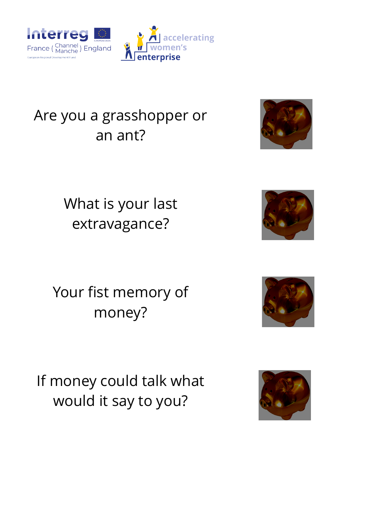

## Are you a grasshopper or an ant?



What is your last extravagance?



Your fist memory of money?



If money could talk what would it say to you?

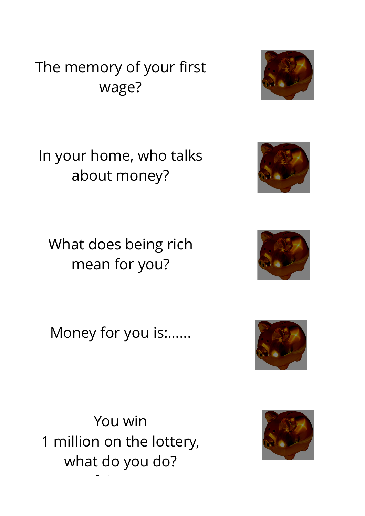## The memory of your first wage?



In your home, who talks about money?

What does being rich mean for you?



Money for you is:…...



You win 1 million on the lottery, what do you do? que faites-vous ?

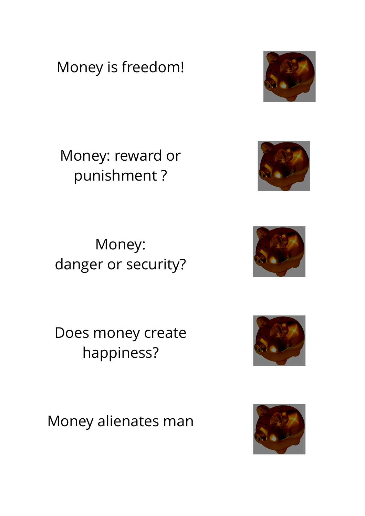Money is freedom!

Money: reward or punishment ?

Money: danger or security?

Does money create happiness?

Money alienates man









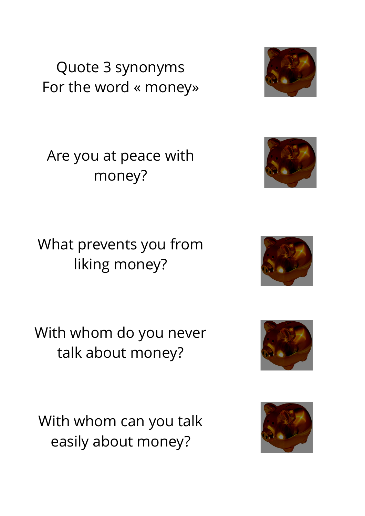Quote 3 synonyms For the word « money»



Are you at peace with money?



What prevents you from liking money?



With whom do you never talk about money?



With whom can you talk easily about money?

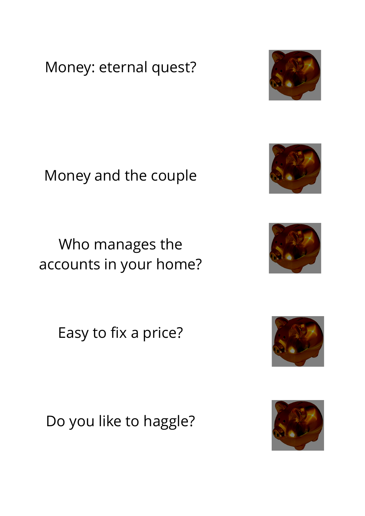Money: eternal quest?

Money and the couple

Who manages the accounts in your home?

Easy to fix a price?

Do you like to haggle?









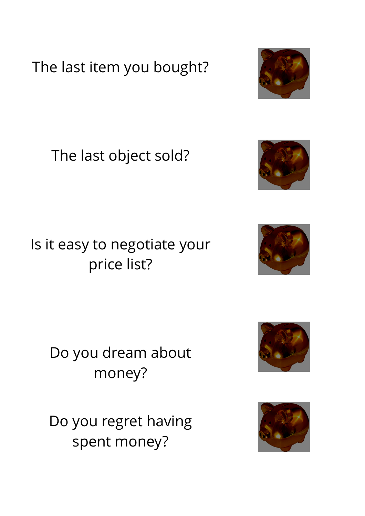The last item you bought?

The last object sold?

Is it easy to negotiate your price list?

> Do you dream about money?

> Do you regret having spent money?









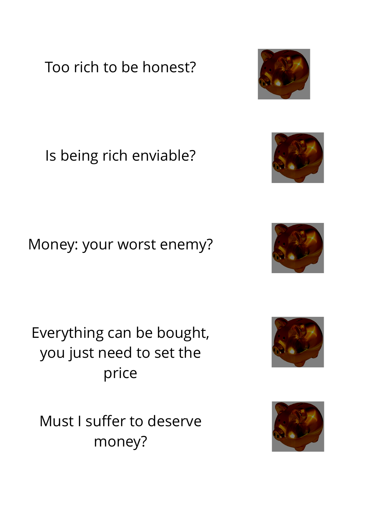Too rich to be honest?

Is being rich enviable?

Money: your worst enemy?

Everything can be bought, you just need to set the price

Must I suffer to deserve money?









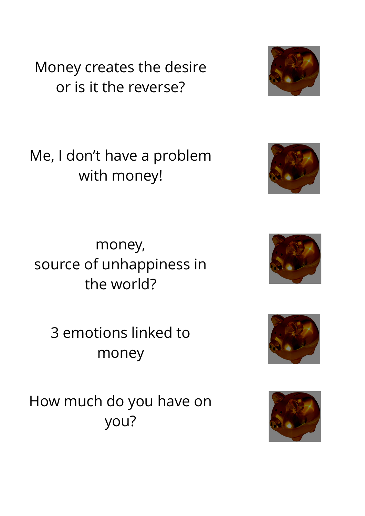Money creates the desire or is it the reverse?

Me, I don't have a problem with money!

money, source of unhappiness in the world?

3 emotions linked to money

How much do you have on you?









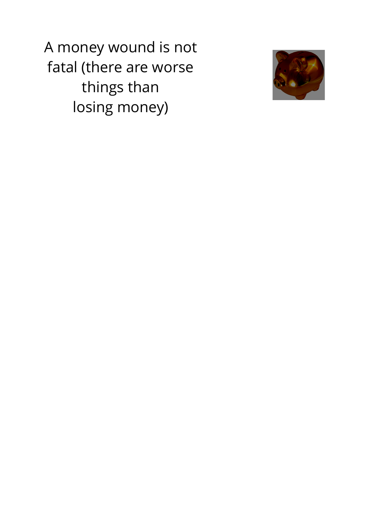A money wound is not fatal (there are worse things than losing money)